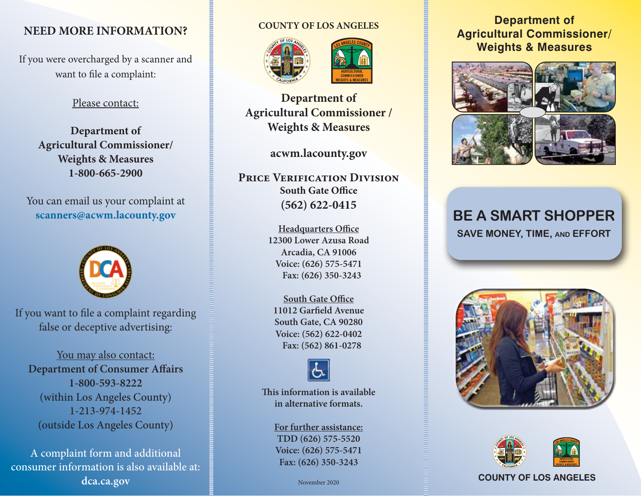# **NEED MORE INFORMATION?**

If you were overcharged by a scanner and want to file a complaint:

## Please contact:

**Department of Agricultural Commissioner/ Weights & Measures 1-800-665-2900**

You can email us your complaint at **scanners@acwm.lacounty.gov**



If you want to file a complaint regarding false or deceptive advertising:

You may also contact: **Department of Consumer Affairs 1-800-593-8222** (within Los Angeles County) 1-213-974-1452 (outside Los Angeles County)

A complaint form and additional consumer information is also available at: **dca.ca.gov**

## **COUNTY OF LOS ANGELES**





**Department of Agricultural Commissioner / Weights & Measures**

**acwm.lacounty.gov**

**Price Verification Division South Gate Office (562) 622-0415**

> **Headquarters Office 12300 Lower Azusa Road Arcadia, CA 91006 Voice: (626) 575-5471 Fax: (626) 350-3243**

**South Gate Office 11012 Garfield Avenue South Gate, CA 90280 Voice: (562) 622-0402 Fax: (562) 861-0278**



**This information is available in alternative formats.**

> **For further assistance: TDD (626) 575-5520 Voice: (626) 575-5471 Fax: (626) 350-3243**

## **Department of Agricultural Commissioner/ Weights & Measures**



# **BE A SMART SHOPPER SAVE MONEY, TIME, and EFFORT**





## November 2020 **COUNTY OF LOS ANGELES**